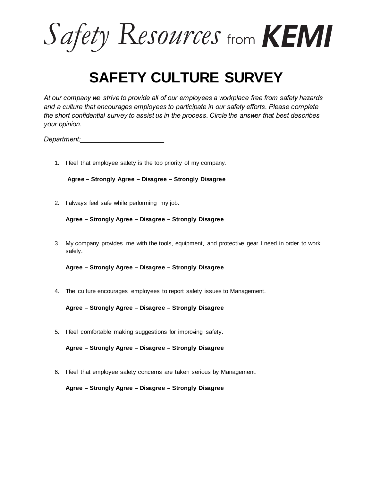Safety Resources from **KEMI** 

## **SAFETY CULTURE SURVEY**

*At our company we strive to provide all of our employees a workplace free from safety hazards and a culture that encourages employees to participate in our safety efforts. Please complete the short confidential survey to assist us in the process. Circle the answer that best describes your opinion.*

*Department:\_\_\_\_\_\_\_\_\_\_\_\_\_\_\_\_\_\_\_\_\_\_\_*

1. I feel that employee safety is the top priority of my company.

**Agree – Strongly Agree – Disagree – Strongly Disagree**

2. I always feel safe while performing my job.

```
Agree – Strongly Agree – Disagree – Strongly Disagree
```
3. My company provides me with the tools, equipment, and protective gear I need in order to work safely.

**Agree – Strongly Agree – Disagree – Strongly Disagree**

4. The culture encourages employees to report safety issues to Management.

**Agree – Strongly Agree – Disagree – Strongly Disagree**

5. I feel comfortable making suggestions for improving safety.

**Agree – Strongly Agree – Disagree – Strongly Disagree**

6. I feel that employee safety concerns are taken serious by Management.

**Agree – Strongly Agree – Disagree – Strongly Disagree**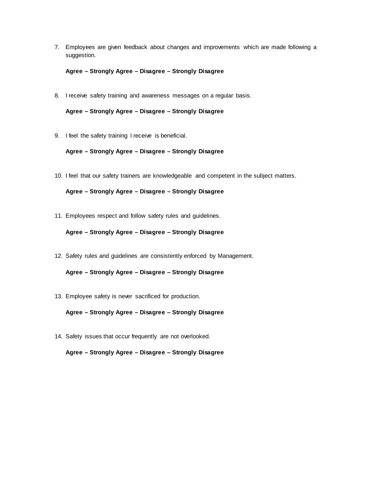7. Employees are given feedback about changes and improvements which are made following a suggestion.

**Agree – Strongly Agree – Disagree – Strongly Disagree**

8. I receive safety training and awareness messages on a regular basis.

**Agree – Strongly Agree – Disagree – Strongly Disagree**

9. I feel the safety training I receive is beneficial.

**Agree – Strongly Agree – Disagree – Strongly Disagree**

10. I feel that our safety trainers are knowledgeable and competent in the subject matters.

**Agree – Strongly Agree – Disagree – Strongly Disagree**

11. Employees respect and follow safety rules and guidelines.

## **Agree – Strongly Agree – Disagree – Strongly Disagree**

12. Safety rules and guidelines are consistently enforced by Management.

## **Agree – Strongly Agree – Disagree – Strongly Disagree**

13. Employee safety is never sacrificed for production.

**Agree – Strongly Agree – Disagree – Strongly Disagree**

14. Safety issues that occur frequently are not overlooked.

**Agree – Strongly Agree – Disagree – Strongly Disagree**